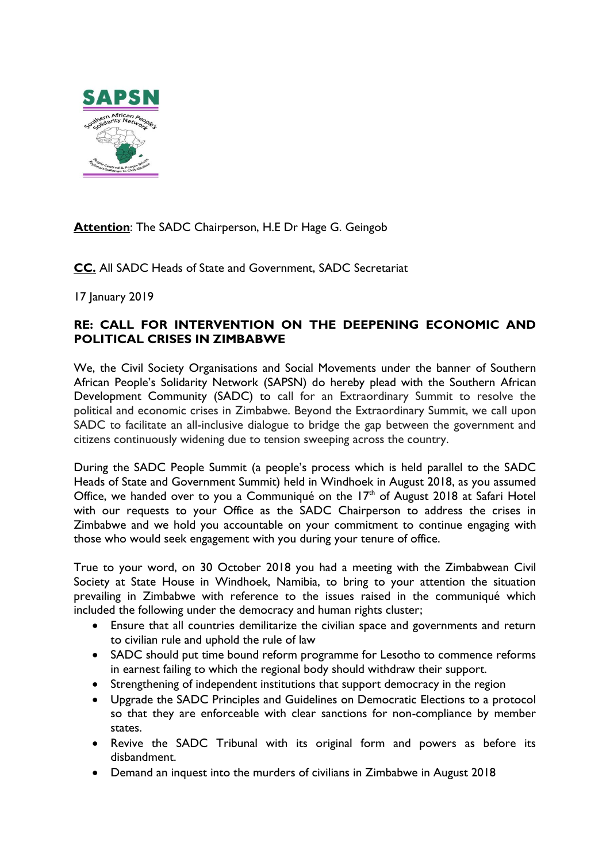

# **Attention**: The SADC Chairperson, H.E Dr Hage G. Geingob

**CC.** All SADC Heads of State and Government, SADC Secretariat

17 January 2019

# **RE: CALL FOR INTERVENTION ON THE DEEPENING ECONOMIC AND POLITICAL CRISES IN ZIMBABWE**

We, the Civil Society Organisations and Social Movements under the banner of Southern African People's Solidarity Network (SAPSN) do hereby plead with the Southern African Development Community (SADC) to call for an Extraordinary Summit to resolve the political and economic crises in Zimbabwe. Beyond the Extraordinary Summit, we call upon SADC to facilitate an all-inclusive dialogue to bridge the gap between the government and citizens continuously widening due to tension sweeping across the country.

During the SADC People Summit (a people's process which is held parallel to the SADC Heads of State and Government Summit) held in Windhoek in August 2018, as you assumed Office, we handed over to you a Communiqué on the  $17<sup>th</sup>$  of August 2018 at Safari Hotel with our requests to your Office as the SADC Chairperson to address the crises in Zimbabwe and we hold you accountable on your commitment to continue engaging with those who would seek engagement with you during your tenure of office.

True to your word, on 30 October 2018 you had a meeting with the Zimbabwean Civil Society at State House in Windhoek, Namibia, to bring to your attention the situation prevailing in Zimbabwe with reference to the issues raised in the communiqué which included the following under the democracy and human rights cluster;

- Ensure that all countries demilitarize the civilian space and governments and return to civilian rule and uphold the rule of law
- SADC should put time bound reform programme for Lesotho to commence reforms in earnest failing to which the regional body should withdraw their support.
- Strengthening of independent institutions that support democracy in the region
- Upgrade the SADC Principles and Guidelines on Democratic Elections to a protocol so that they are enforceable with clear sanctions for non-compliance by member states.
- Revive the SADC Tribunal with its original form and powers as before its disbandment.
- Demand an inquest into the murders of civilians in Zimbabwe in August 2018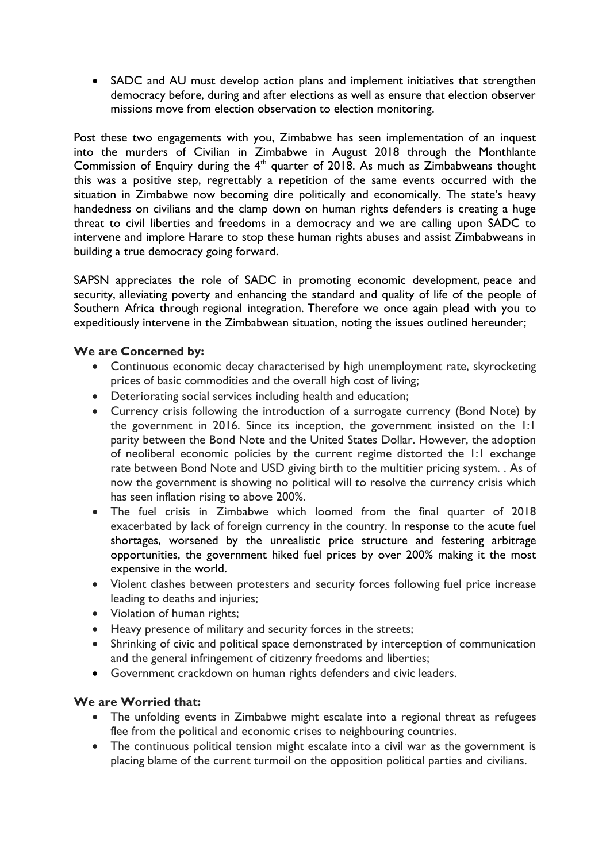• SADC and AU must develop action plans and implement initiatives that strengthen democracy before, during and after elections as well as ensure that election observer missions move from election observation to election monitoring.

Post these two engagements with you, Zimbabwe has seen implementation of an inquest into the murders of Civilian in Zimbabwe in August 2018 through the Monthlante Commission of Enquiry during the  $4<sup>th</sup>$  quarter of 2018. As much as Zimbabweans thought this was a positive step, regrettably a repetition of the same events occurred with the situation in Zimbabwe now becoming dire politically and economically. The state's heavy handedness on civilians and the clamp down on human rights defenders is creating a huge threat to civil liberties and freedoms in a democracy and we are calling upon SADC to intervene and implore Harare to stop these human rights abuses and assist Zimbabweans in building a true democracy going forward.

SAPSN appreciates the role of SADC in promoting economic development, peace and security, alleviating poverty and enhancing the standard and quality of life of the people of Southern Africa through regional integration. Therefore we once again plead with you to expeditiously intervene in the Zimbabwean situation, noting the issues outlined hereunder;

# **We are Concerned by:**

- Continuous economic decay characterised by high unemployment rate, skyrocketing prices of basic commodities and the overall high cost of living;
- Deteriorating social services including health and education;
- Currency crisis following the introduction of a surrogate currency (Bond Note) by the government in 2016. Since its inception, the government insisted on the 1:1 parity between the Bond Note and the United States Dollar. However, the adoption of neoliberal economic policies by the current regime distorted the 1:1 exchange rate between Bond Note and USD giving birth to the multitier pricing system. . As of now the government is showing no political will to resolve the currency crisis which has seen inflation rising to above 200%.
- The fuel crisis in Zimbabwe which loomed from the final quarter of 2018 exacerbated by lack of foreign currency in the country. In response to the acute fuel shortages, worsened by the unrealistic price structure and festering arbitrage opportunities, the government hiked fuel prices by over 200% making it the most expensive in the world.
- Violent clashes between protesters and security forces following fuel price increase leading to deaths and injuries;
- Violation of human rights;
- Heavy presence of military and security forces in the streets;
- Shrinking of civic and political space demonstrated by interception of communication and the general infringement of citizenry freedoms and liberties;
- Government crackdown on human rights defenders and civic leaders.

### **We are Worried that:**

- The unfolding events in Zimbabwe might escalate into a regional threat as refugees flee from the political and economic crises to neighbouring countries.
- The continuous political tension might escalate into a civil war as the government is placing blame of the current turmoil on the opposition political parties and civilians.